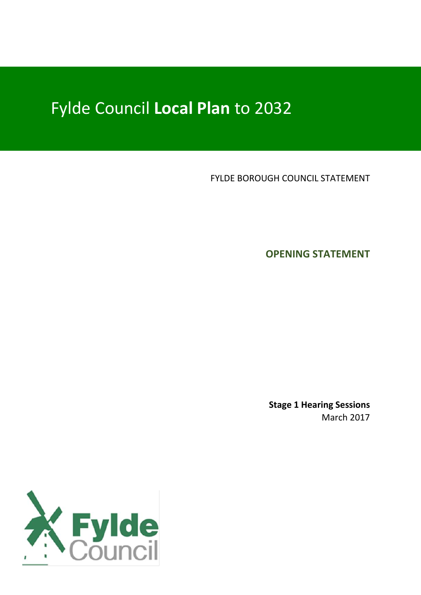## Fylde Council **Local Plan** to 2032

FYLDE BOROUGH COUNCIL STATEMENT

**OPENING STATEMENT**

**Stage 1 Hearing Sessions** March 2017

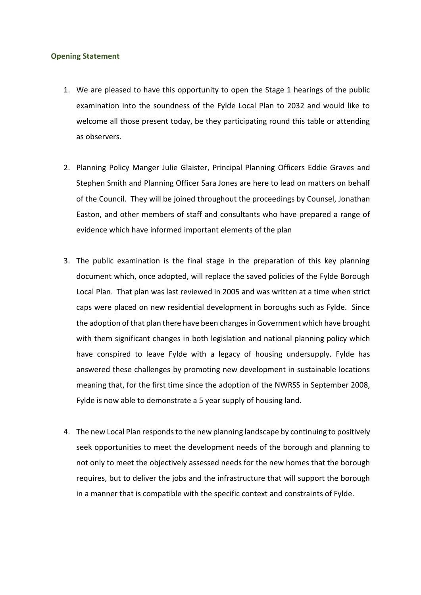## **Opening Statement**

- 1. We are pleased to have this opportunity to open the Stage 1 hearings of the public examination into the soundness of the Fylde Local Plan to 2032 and would like to welcome all those present today, be they participating round this table or attending as observers.
- 2. Planning Policy Manger Julie Glaister, Principal Planning Officers Eddie Graves and Stephen Smith and Planning Officer Sara Jones are here to lead on matters on behalf of the Council. They will be joined throughout the proceedings by Counsel, Jonathan Easton, and other members of staff and consultants who have prepared a range of evidence which have informed important elements of the plan
- 3. The public examination is the final stage in the preparation of this key planning document which, once adopted, will replace the saved policies of the Fylde Borough Local Plan. That plan was last reviewed in 2005 and was written at a time when strict caps were placed on new residential development in boroughs such as Fylde. Since the adoption of that plan there have been changes in Government which have brought with them significant changes in both legislation and national planning policy which have conspired to leave Fylde with a legacy of housing undersupply. Fylde has answered these challenges by promoting new development in sustainable locations meaning that, for the first time since the adoption of the NWRSS in September 2008, Fylde is now able to demonstrate a 5 year supply of housing land.
- 4. The new Local Plan responds to the new planning landscape by continuing to positively seek opportunities to meet the development needs of the borough and planning to not only to meet the objectively assessed needs for the new homes that the borough requires, but to deliver the jobs and the infrastructure that will support the borough in a manner that is compatible with the specific context and constraints of Fylde.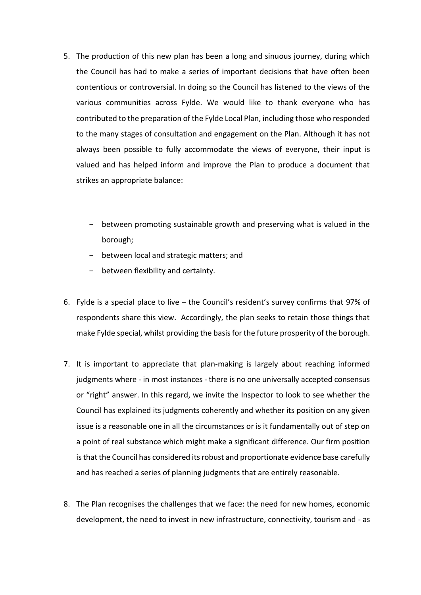- 5. The production of this new plan has been a long and sinuous journey, during which the Council has had to make a series of important decisions that have often been contentious or controversial. In doing so the Council has listened to the views of the various communities across Fylde. We would like to thank everyone who has contributed to the preparation of the Fylde Local Plan, including those who responded to the many stages of consultation and engagement on the Plan. Although it has not always been possible to fully accommodate the views of everyone, their input is valued and has helped inform and improve the Plan to produce a document that strikes an appropriate balance:
	- − between promoting sustainable growth and preserving what is valued in the borough;
	- − between local and strategic matters; and
	- − between flexibility and certainty.
- 6. Fylde is a special place to live the Council's resident's survey confirms that 97% of respondents share this view. Accordingly, the plan seeks to retain those things that make Fylde special, whilst providing the basis for the future prosperity of the borough.
- 7. It is important to appreciate that plan-making is largely about reaching informed judgments where - in most instances - there is no one universally accepted consensus or "right" answer. In this regard, we invite the Inspector to look to see whether the Council has explained its judgments coherently and whether its position on any given issue is a reasonable one in all the circumstances or is it fundamentally out of step on a point of real substance which might make a significant difference. Our firm position is that the Council has considered its robust and proportionate evidence base carefully and has reached a series of planning judgments that are entirely reasonable.
- 8. The Plan recognises the challenges that we face: the need for new homes, economic development, the need to invest in new infrastructure, connectivity, tourism and - as